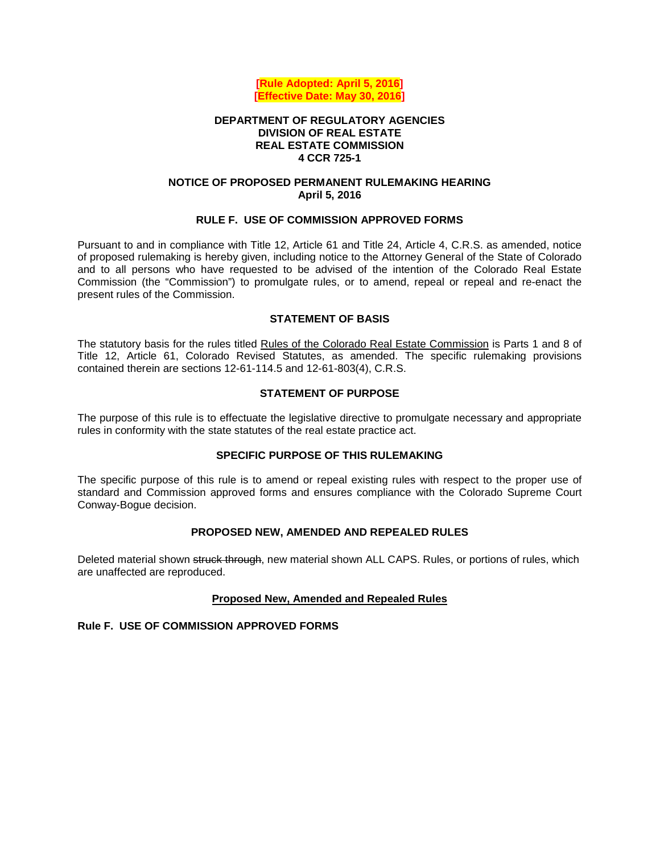

### **DEPARTMENT OF REGULATORY AGENCIES DIVISION OF REAL ESTATE REAL ESTATE COMMISSION 4 CCR 725-1**

#### **NOTICE OF PROPOSED PERMANENT RULEMAKING HEARING April 5, 2016**

## **RULE F. USE OF COMMISSION APPROVED FORMS**

Pursuant to and in compliance with Title 12, Article 61 and Title 24, Article 4, C.R.S. as amended, notice of proposed rulemaking is hereby given, including notice to the Attorney General of the State of Colorado and to all persons who have requested to be advised of the intention of the Colorado Real Estate Commission (the "Commission") to promulgate rules, or to amend, repeal or repeal and re-enact the present rules of the Commission.

# **STATEMENT OF BASIS**

The statutory basis for the rules titled Rules of the Colorado Real Estate Commission is Parts 1 and 8 of Title 12, Article 61, Colorado Revised Statutes, as amended. The specific rulemaking provisions contained therein are sections 12-61-114.5 and 12-61-803(4), C.R.S.

# **STATEMENT OF PURPOSE**

The purpose of this rule is to effectuate the legislative directive to promulgate necessary and appropriate rules in conformity with the state statutes of the real estate practice act.

### **SPECIFIC PURPOSE OF THIS RULEMAKING**

The specific purpose of this rule is to amend or repeal existing rules with respect to the proper use of standard and Commission approved forms and ensures compliance with the Colorado Supreme Court Conway-Bogue decision.

### **PROPOSED NEW, AMENDED AND REPEALED RULES**

Deleted material shown struck through, new material shown ALL CAPS. Rules, or portions of rules, which are unaffected are reproduced.

## **Proposed New, Amended and Repealed Rules**

## **Rule F. USE OF COMMISSION APPROVED FORMS**